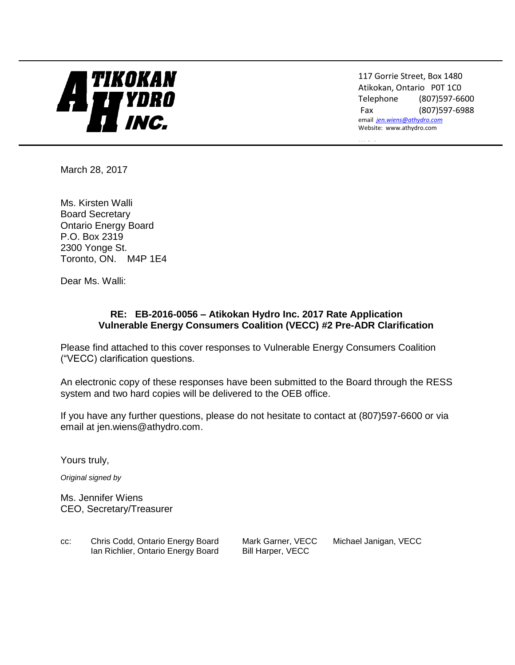# $\blacksquare$

117 Gorrie Street, Box 1480 Atikokan, Ontario P0T 1C0 Telephone (807)597-6600 Fax (807)597-6988 email *[jen.wiens@athydro.com](mailto:jen.wiens@athydro.com)* Website: www.athydro.com

*Website*

March 28, 2017

Ms. Kirsten Walli Board Secretary Ontario Energy Board P.O. Box 2319 2300 Yonge St. Toronto, ON. M4P 1E4

Dear Ms. Walli:

#### **RE: EB-2016-0056 – Atikokan Hydro Inc. 2017 Rate Application Vulnerable Energy Consumers Coalition (VECC) #2 Pre-ADR Clarification**

Please find attached to this cover responses to Vulnerable Energy Consumers Coalition ("VECC) clarification questions.

An electronic copy of these responses have been submitted to the Board through the RESS system and two hard copies will be delivered to the OEB office.

If you have any further questions, please do not hesitate to contact at (807)597-6600 or via email at jen.wiens@athydro.com.

Yours truly,

*Original signed by*

Ms. Jennifer Wiens CEO, Secretary/Treasurer

| CC: | Chris Codd, Ontario Energy Board   | Mark Garner, VECC | Michael Janigan, VECC |
|-----|------------------------------------|-------------------|-----------------------|
|     | Ian Richlier, Ontario Energy Board | Bill Harper, VECC |                       |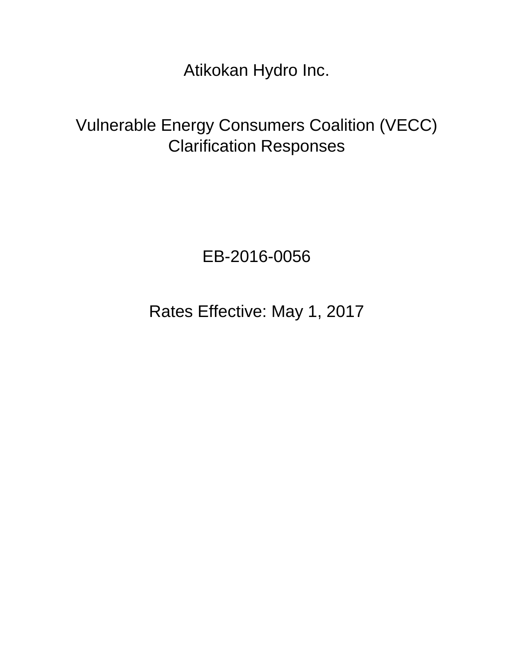Atikokan Hydro Inc.

# Vulnerable Energy Consumers Coalition (VECC) Clarification Responses

## EB-2016-0056

Rates Effective: May 1, 2017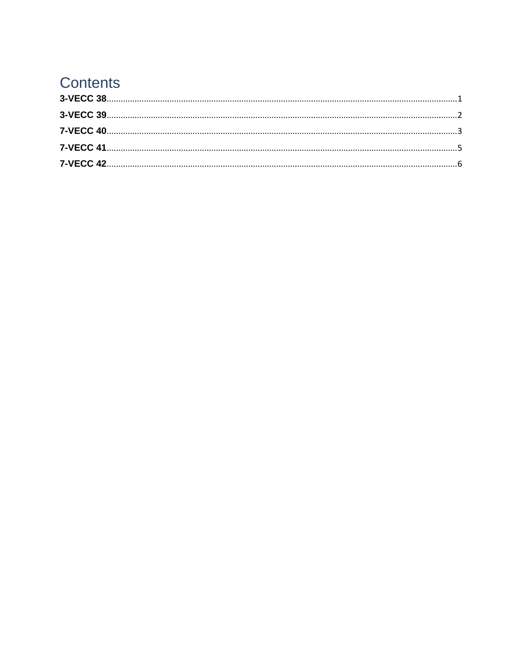## **Contents**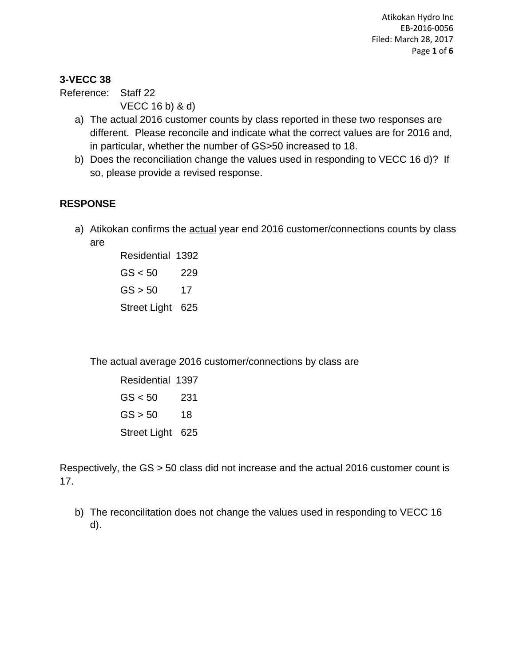Atikokan Hydro Inc EB-2016-0056 Filed: March 28, 2017 Page **1** of **6**

#### <span id="page-3-0"></span>**3-VECC 38**

Reference: Staff 22 VECC 16 b) & d)

- a) The actual 2016 customer counts by class reported in these two responses are different. Please reconcile and indicate what the correct values are for 2016 and, in particular, whether the number of GS>50 increased to 18.
- b) Does the reconciliation change the values used in responding to VECC 16 d)? If so, please provide a revised response.

#### **RESPONSE**

a) Atikokan confirms the actual year end 2016 customer/connections counts by class are

> Residential 1392  $GS < 50$  229  $GS > 50$  17 Street Light 625

The actual average 2016 customer/connections by class are

Residential 1397  $GS < 50$  231  $GS > 50$  18 Street Light 625

Respectively, the GS > 50 class did not increase and the actual 2016 customer count is 17.

b) The reconcilitation does not change the values used in responding to VECC 16 d).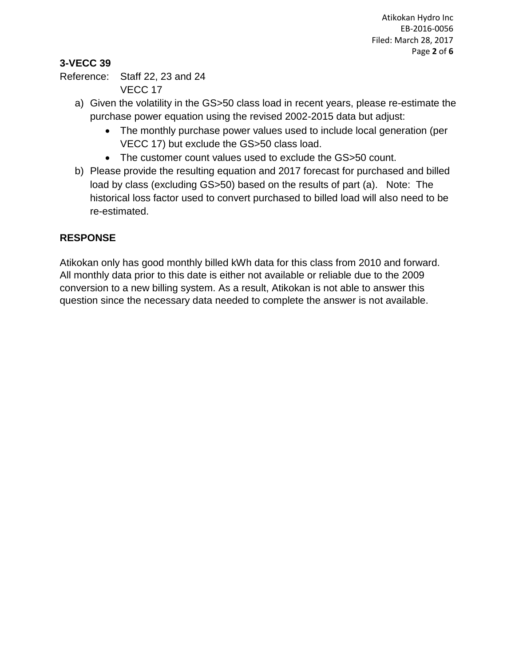Atikokan Hydro Inc EB-2016-0056 Filed: March 28, 2017 Page **2** of **6**

### <span id="page-4-0"></span>**3-VECC 39**

Reference: Staff 22, 23 and 24 VECC 17

- a) Given the volatility in the GS>50 class load in recent years, please re-estimate the purchase power equation using the revised 2002-2015 data but adjust:
	- The monthly purchase power values used to include local generation (per VECC 17) but exclude the GS>50 class load.
	- The customer count values used to exclude the GS>50 count.
- b) Please provide the resulting equation and 2017 forecast for purchased and billed load by class (excluding GS>50) based on the results of part (a). Note: The historical loss factor used to convert purchased to billed load will also need to be re-estimated.

#### **RESPONSE**

Atikokan only has good monthly billed kWh data for this class from 2010 and forward. All monthly data prior to this date is either not available or reliable due to the 2009 conversion to a new billing system. As a result, Atikokan is not able to answer this question since the necessary data needed to complete the answer is not available.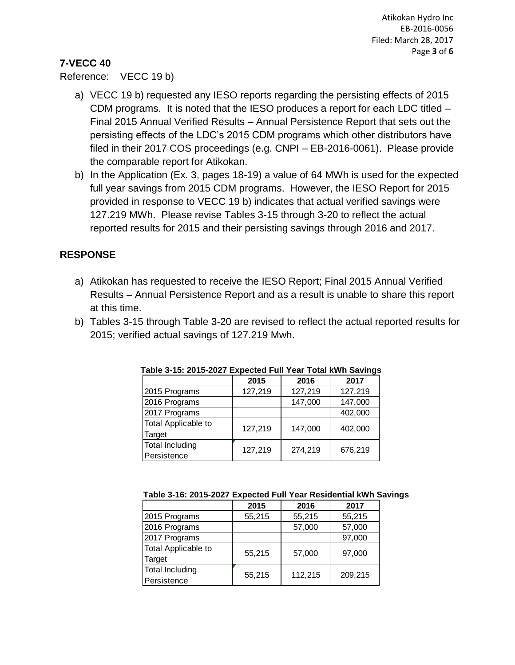#### <span id="page-5-0"></span>**7-VECC 40**

#### Reference: VECC 19 b)

- a) VECC 19 b) requested any IESO reports regarding the persisting effects of 2015 CDM programs. It is noted that the IESO produces a report for each LDC titled – Final 2015 Annual Verified Results – Annual Persistence Report that sets out the persisting effects of the LDC's 2015 CDM programs which other distributors have filed in their 2017 COS proceedings (e.g. CNPI – EB-2016-0061). Please provide the comparable report for Atikokan.
- b) In the Application (Ex. 3, pages 18-19) a value of 64 MWh is used for the expected full year savings from 2015 CDM programs. However, the IESO Report for 2015 provided in response to VECC 19 b) indicates that actual verified savings were 127.219 MWh. Please revise Tables 3-15 through 3-20 to reflect the actual reported results for 2015 and their persisting savings through 2016 and 2017.

#### **RESPONSE**

- a) Atikokan has requested to receive the IESO Report; Final 2015 Annual Verified Results – Annual Persistence Report and as a result is unable to share this report at this time.
- b) Tables 3-15 through Table 3-20 are revised to reflect the actual reported results for 2015; verified actual savings of 127.219 Mwh.

|                        | 2015    | 2016    | 2017    |
|------------------------|---------|---------|---------|
| 2015 Programs          | 127,219 | 127,219 | 127,219 |
| 2016 Programs          |         | 147,000 | 147,000 |
| 2017 Programs          |         |         | 402,000 |
| Total Applicable to    | 127,219 | 147,000 | 402,000 |
| Target                 |         |         |         |
| <b>Total Including</b> | 127,219 | 274,219 | 676,219 |
| Persistence            |         |         |         |

**Table 3-15: 2015-2027 Expected Full Year Total kWh Savings**

| Table 3-16: 2015-2027 Expected Full Year Residential kWh Savings |  |  |  |
|------------------------------------------------------------------|--|--|--|
|------------------------------------------------------------------|--|--|--|

|                            | 2015   | 2016    | 2017    |
|----------------------------|--------|---------|---------|
| 2015 Programs              | 55,215 | 55,215  | 55,215  |
| 2016 Programs              |        | 57,000  | 57,000  |
| 2017 Programs              |        |         | 97,000  |
| <b>Total Applicable to</b> | 55,215 | 57,000  | 97,000  |
| Target                     |        |         |         |
| <b>Total Including</b>     | 55,215 | 112,215 | 209,215 |
| Persistence                |        |         |         |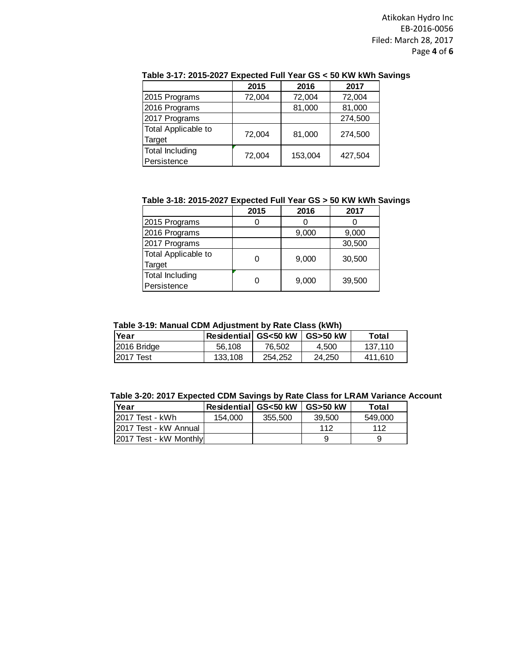Atikokan Hydro Inc EB-2016-0056 Filed: March 28, 2017 Page **4** of **6**

|                            | 2015   | 2016    | 2017    |
|----------------------------|--------|---------|---------|
| 2015 Programs              | 72,004 | 72,004  | 72,004  |
| 2016 Programs              |        | 81,000  | 81,000  |
| 2017 Programs              |        |         | 274,500 |
| <b>Total Applicable to</b> | 72,004 | 81,000  | 274,500 |
| Target                     |        |         |         |
| <b>Total Including</b>     | 72,004 | 153,004 |         |
| Persistence                |        |         | 427,504 |

#### **Table 3-17: 2015-2027 Expected Full Year GS < 50 KW kWh Savings**

**Table 3-18: 2015-2027 Expected Full Year GS > 50 KW kWh Savings**

|                            | 2015 | 2016  | 2017   |
|----------------------------|------|-------|--------|
| 2015 Programs              |      |       |        |
| 2016 Programs              |      | 9,000 | 9,000  |
| 2017 Programs              |      |       | 30,500 |
| <b>Total Applicable to</b> |      | 9,000 | 30,500 |
| Target                     |      |       |        |
| <b>Total Including</b>     |      | 9,000 | 39,500 |
| Persistence                |      |       |        |

#### **Table 3-19: Manual CDM Adjustment by Rate Class (kWh)**

| Year        | ∣Residential∣ GS<50 kW |         | <b>GS&gt;50 kW</b> | Total   |
|-------------|------------------------|---------|--------------------|---------|
| 2016 Bridge | 56.108                 | 76.502  | 4.500              | 137.110 |
| 12017 Test  | 133.108                | 254.252 | 24.250             | 411.610 |

|  | Table 3-20: 2017 Expected CDM Savings by Rate Class for LRAM Variance Account |  |  |  |
|--|-------------------------------------------------------------------------------|--|--|--|
|--|-------------------------------------------------------------------------------|--|--|--|

| <b>Year</b>            | <b>Residential GS&lt;50 kW</b> |         | <b>GS&gt;50 kW</b> | Total   |
|------------------------|--------------------------------|---------|--------------------|---------|
| 12017 Test - kWh       | 154.000                        | 355,500 | 39.500             | 549,000 |
| 12017 Test - kW Annual |                                |         | 112                | 112     |
| 2017 Test - kW Monthly |                                |         |                    |         |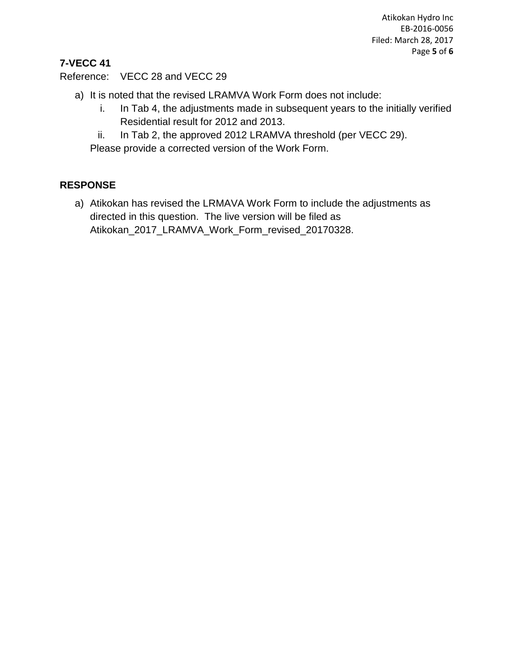Atikokan Hydro Inc EB-2016-0056 Filed: March 28, 2017 Page **5** of **6**

## <span id="page-7-0"></span>**7-VECC 41**

Reference: VECC 28 and VECC 29

- a) It is noted that the revised LRAMVA Work Form does not include:
	- i. In Tab 4, the adjustments made in subsequent years to the initially verified Residential result for 2012 and 2013.
	- ii. In Tab 2, the approved 2012 LRAMVA threshold (per VECC 29).

Please provide a corrected version of the Work Form.

#### **RESPONSE**

a) Atikokan has revised the LRMAVA Work Form to include the adjustments as directed in this question. The live version will be filed as Atikokan\_2017\_LRAMVA\_Work\_Form\_revised\_20170328.